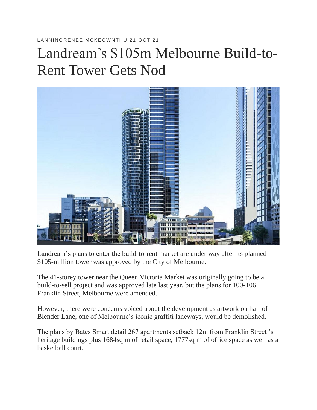## LANNINGRENEE MCKEOWNTHU 21 OCT 21

## Landream's \$105m Melbourne Build-to-Rent Tower Gets Nod



Landream's plans to enter the build-to-rent market are under way after its planned \$105-million tower was approved by the City of Melbourne.

The 41-storey tower near the Queen Victoria Market was originally going to be a build-to-sell project and was approved late last year, but the plans for 100-106 Franklin Street, Melbourne were amended.

However, there were concerns voiced about the development as artwork on half of Blender Lane, one of Melbourne's iconic graffiti laneways, would be demolished.

The plans by Bates Smart detail 267 apartments setback 12m from Franklin Street 's heritage buildings plus 1684sq m of retail space, 1777sq m of office space as well as a basketball court.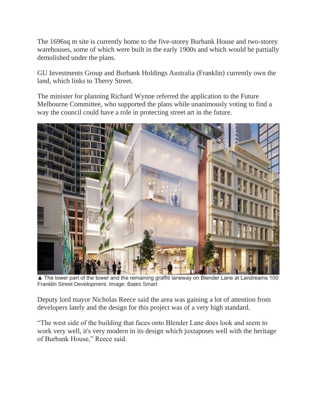The 1696sq m site is currently home to the five-storey Burbank House and two-storey warehouses, some of which were built in the early 1900s and which would be partially demolished under the plans.

GU Investments Group and Burbank Holdings Australia (Franklin) currently own the land, which links to Therry Street.

The minister for planning Richard Wynne referred the application to the Future Melbourne Committee, who supported the plans while unanimously voting to find a way the council could have a role in protecting street art in the future.



▲ The lower part of the tower and the remaining graffiti laneway on Blender Lane at Landreams 100 Franklin Street Development. Image: Bates Smart

Deputy lord mayor Nicholas Reece said the area was gaining a lot of attention from developers lately and the design for this project was of a very high standard.

"The west side of the building that faces onto Blender Lane does look and seem to work very well, it's very modern in its design which juxtaposes well with the heritage of Burbank House," Reece said.